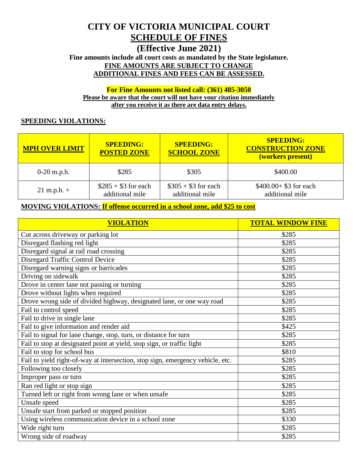# **CITY OF VICTORIA MUNICIPAL COURT SCHEDULE OF FINES**

# **(Effective June 2021)**

**Fine amounts include all court costs as mandated by the State legislature. FINE AMOUNTS ARE SUBJECT TO CHANGE ADDITIONAL FINES AND FEES CAN BE ASSESSED.**

**For Fine Amounts not listed call: (361) 485-3050 Please be aware that the court will not have your citation immediately after you receive it as there are data entry delays.**

#### **SPEEDING VIOLATIONS:**

| <b>MPH OVER LIMIT</b> | <b>SPEEDING:</b><br><b>POSTED ZONE</b>  | <b>SPEEDING:</b><br><b>SCHOOL ZONE</b>    | <b>SPEEDING:</b><br><b>CONSTRUCTION ZONE</b><br>(workers present) |
|-----------------------|-----------------------------------------|-------------------------------------------|-------------------------------------------------------------------|
| $0-20$ m.p.h.         | \$285                                   | \$305                                     | \$400.00                                                          |
| $21 \text{ m.p.h.} +$ | $$285 + $3$ for each<br>additional mile | $\$305 + \$3$ for each<br>additional mile | $$400.00+ $3$ for each<br>additional mile                         |

#### **MOVING VIOLATIONS: If offense occurred in a school zone, add \$25 to cost**

| <b>VIOLATION</b>                                                               | <b>TOTAL WINDOW FINE</b> |
|--------------------------------------------------------------------------------|--------------------------|
| Cut across driveway or parking lot                                             | \$285                    |
| Disregard flashing red light                                                   | \$285                    |
| Disregard signal at rail road crossing                                         | \$285                    |
| Disregard Traffic Control Device                                               | \$285                    |
| Disregard warning signs or barricades                                          | \$285                    |
| Driving on sidewalk                                                            | \$285                    |
| Drove in center lane not passing or turning                                    | \$285                    |
| Drove without lights when required                                             | \$285                    |
| Drove wrong side of divided highway, designated lane, or one way road          | \$285                    |
| Fail to control speed                                                          | \$285                    |
| Fail to drive in single lane                                                   | \$285                    |
| Fail to give information and render aid                                        | \$425                    |
| Fail to signal for lane change, stop, turn, or distance for turn               | \$285                    |
| Fail to stop at designated point at yield, stop sign, or traffic light         | \$285                    |
| Fail to stop for school bus                                                    | \$810                    |
| Fail to yield right-of-way at intersection, stop sign, emergency vehicle, etc. | \$285                    |
| Following too closely                                                          | \$285                    |
| Improper pass or turn                                                          | \$285                    |
| Ran red light or stop sign                                                     | \$285                    |
| Turned left or right from wrong lane or when unsafe                            | \$285                    |
| Unsafe speed                                                                   | \$285                    |
| Unsafe start from parked or stopped position                                   | \$285                    |
| Using wireless communication device in a school zone                           | \$330                    |
| Wide right turn                                                                | \$285                    |
| Wrong side of roadway                                                          | \$285                    |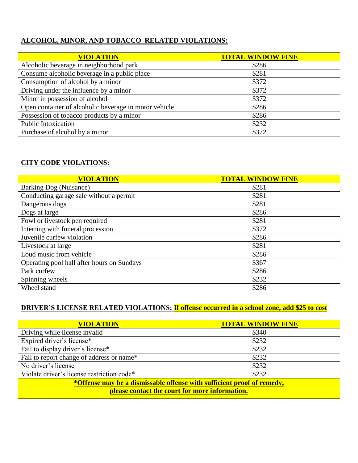### **ALCOHOL, MINOR, AND TOBACCO RELATED VIOLATIONS:**

| <b>VIOLATION</b>                                      | <b>TOTAL WINDOW FINE</b> |
|-------------------------------------------------------|--------------------------|
| Alcoholic beverage in neighborhood park               | \$286                    |
| Consume alcoholic beverage in a public place          | \$281                    |
| Consumption of alcohol by a minor                     | \$372                    |
| Driving under the influence by a minor                | \$372                    |
| Minor in possession of alcohol                        | \$372                    |
| Open container of alcoholic beverage in motor vehicle | \$286                    |
| Possession of tobacco products by a minor             | \$286                    |
| <b>Public Intoxication</b>                            | \$232                    |
| Purchase of alcohol by a minor                        | \$372                    |

#### **CITY CODE VIOLATIONS:**

| <b>VIOLATION</b>                           | <b>TOTAL WINDOW FINE</b> |
|--------------------------------------------|--------------------------|
| Barking Dog (Nuisance)                     | \$281                    |
| Conducting garage sale without a permit    | \$281                    |
| Dangerous dogs                             | \$281                    |
| Dogs at large                              | \$286                    |
| Fowl or livestock pen required             | \$281                    |
| Interring with funeral procession          | \$372                    |
| Juvenile curfew violation                  | \$286                    |
| Livestock at large                         | \$281                    |
| Loud music from vehicle                    | \$286                    |
| Operating pool hall after hours on Sundays | \$367                    |
| Park curfew                                | \$286                    |
| Spinning wheels                            | \$232                    |
| Wheel stand                                | \$286                    |

# **DRIVER'S LICENSE RELATED VIOLATIONS: If offense occurred in a school zone, add \$25 to cost**

| <b>VIOLATION</b>                                                       | <b>TOTAL WINDOW FINE</b> |  |
|------------------------------------------------------------------------|--------------------------|--|
| Driving while license invalid                                          | \$340                    |  |
| Expired driver's license*                                              | \$232                    |  |
| Fail to display driver's license*                                      | \$232                    |  |
| Fail to report change of address or name*                              | \$232                    |  |
| No driver's license                                                    | \$232                    |  |
| Violate driver's license restriction code*                             | \$232                    |  |
| *Offense may be a dismissable offense with sufficient proof of remedy, |                          |  |
| please contact the court for more information.                         |                          |  |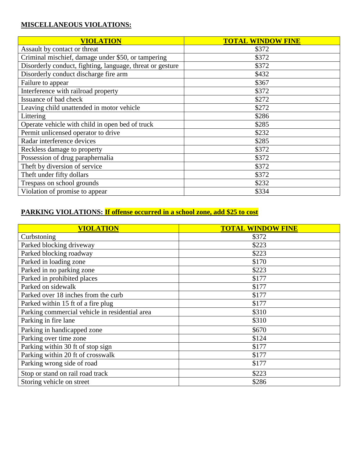# **MISCELLANEOUS VIOLATIONS:**

| <b>VIOLATION</b>                                          | <b>TOTAL WINDOW FINE</b> |
|-----------------------------------------------------------|--------------------------|
| Assault by contact or threat                              | \$372                    |
| Criminal mischief, damage under \$50, or tampering        | \$372                    |
| Disorderly conduct, fighting, language, threat or gesture | \$372                    |
| Disorderly conduct discharge fire arm                     | \$432                    |
| Failure to appear                                         | \$367                    |
| Interference with railroad property                       | \$372                    |
| Issuance of bad check                                     | \$272                    |
| Leaving child unattended in motor vehicle                 | \$272                    |
| Littering                                                 | \$286                    |
| Operate vehicle with child in open bed of truck           | \$285                    |
| Permit unlicensed operator to drive                       | \$232                    |
| Radar interference devices                                | \$285                    |
| Reckless damage to property                               | \$372                    |
| Possession of drug paraphernalia                          | \$372                    |
| Theft by diversion of service                             | \$372                    |
| Theft under fifty dollars                                 | \$372                    |
| Trespass on school grounds                                | \$232                    |
| Violation of promise to appear                            | \$334                    |

# **PARKING VIOLATIONS: If offense occurred in a school zone, add \$25 to cost**

| <b>VIOLATION</b>                               | <b>TOTAL WINDOW FINE</b> |
|------------------------------------------------|--------------------------|
| Curbstoning                                    | \$372                    |
| Parked blocking driveway                       | \$223                    |
| Parked blocking roadway                        | \$223                    |
| Parked in loading zone                         | \$170                    |
| Parked in no parking zone                      | \$223                    |
| Parked in prohibited places                    | \$177                    |
| Parked on sidewalk                             | \$177                    |
| Parked over 18 inches from the curb            | \$177                    |
| Parked within 15 ft of a fire plug             | \$177                    |
| Parking commercial vehicle in residential area | \$310                    |
| Parking in fire lane                           | \$310                    |
| Parking in handicapped zone                    | \$670                    |
| Parking over time zone                         | \$124                    |
| Parking within 30 ft of stop sign              | \$177                    |
| Parking within 20 ft of crosswalk              | \$177                    |
| Parking wrong side of road                     | \$177                    |
| Stop or stand on rail road track               | \$223                    |
| Storing vehicle on street                      | \$286                    |